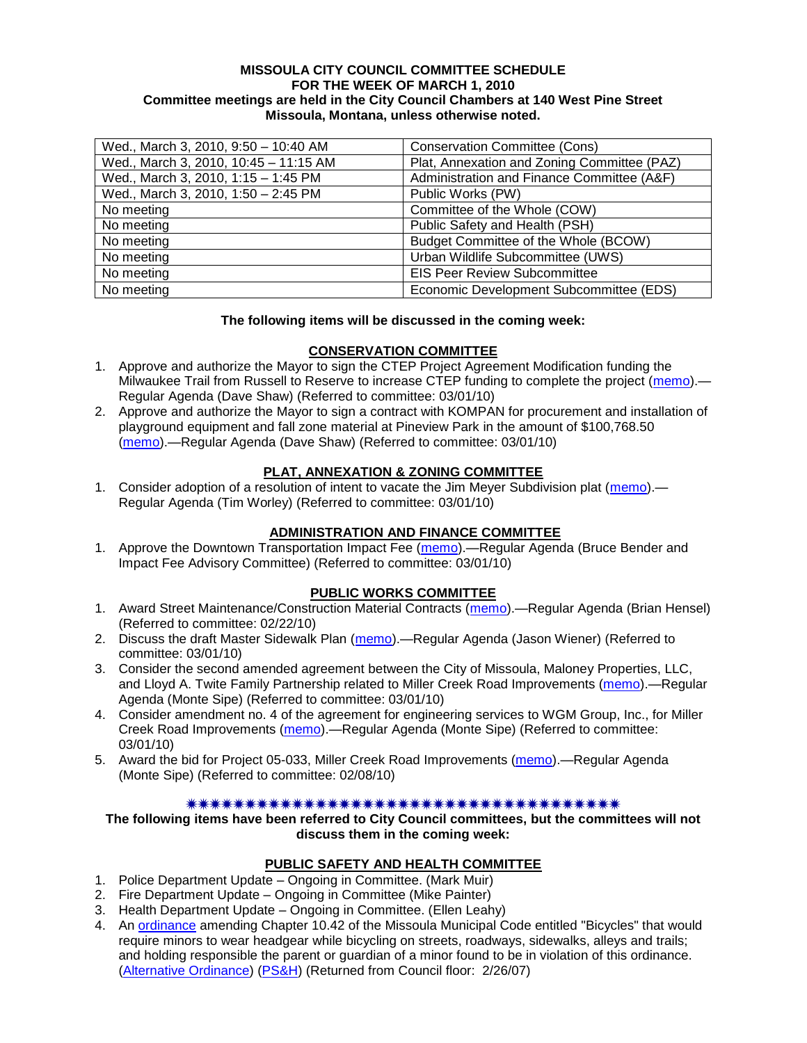#### **MISSOULA CITY COUNCIL COMMITTEE SCHEDULE FOR THE WEEK OF MARCH 1, 2010 Committee meetings are held in the City Council Chambers at 140 West Pine Street Missoula, Montana, unless otherwise noted.**

| Wed., March 3, 2010, 9:50 - 10:40 AM  | <b>Conservation Committee (Cons)</b>        |
|---------------------------------------|---------------------------------------------|
| Wed., March 3, 2010, 10:45 - 11:15 AM | Plat, Annexation and Zoning Committee (PAZ) |
| Wed., March 3, 2010, 1:15 - 1:45 PM   | Administration and Finance Committee (A&F)  |
| Wed., March 3, 2010, 1:50 - 2:45 PM   | Public Works (PW)                           |
| No meeting                            | Committee of the Whole (COW)                |
| No meeting                            | Public Safety and Health (PSH)              |
| No meeting                            | Budget Committee of the Whole (BCOW)        |
| No meeting                            | Urban Wildlife Subcommittee (UWS)           |
| No meeting                            | <b>EIS Peer Review Subcommittee</b>         |
| No meeting                            | Economic Development Subcommittee (EDS)     |

#### **The following items will be discussed in the coming week:**

### **CONSERVATION COMMITTEE**

- 1. Approve and authorize the Mayor to sign the CTEP Project Agreement Modification funding the Milwaukee Trail from Russell to Reserve to increase CTEP funding to complete the project [\(memo\)](http://www.ci.missoula.mt.us/DocumentView.aspx?DID=3220).— Regular Agenda (Dave Shaw) (Referred to committee: 03/01/10)
- 2. Approve and authorize the Mayor to sign a contract with KOMPAN for procurement and installation of playground equipment and fall zone material at Pineview Park in the amount of \$100,768.50 [\(memo\)](http://www.ci.missoula.mt.us/DocumentView.aspx?DID=3221).—Regular Agenda (Dave Shaw) (Referred to committee: 03/01/10)

## **PLAT, ANNEXATION & ZONING COMMITTEE**

1. Consider adoption of a resolution of intent to vacate the Jim Meyer Subdivision plat [\(memo\)](http://www.ci.missoula.mt.us/DocumentView.aspx?DID=3219).— Regular Agenda (Tim Worley) (Referred to committee: 03/01/10)

### **ADMINISTRATION AND FINANCE COMMITTEE**

1. Approve the Downtown Transportation Impact Fee [\(memo\)](http://www.ci.missoula.mt.us/DocumentView.aspx?DID=3214).—Regular Agenda (Bruce Bender and Impact Fee Advisory Committee) (Referred to committee: 03/01/10)

## **PUBLIC WORKS COMMITTEE**

- 1. Award Street Maintenance/Construction Material Contracts [\(memo\)](http://www.ci.missoula.mt.us/DocumentView.aspx?DID=3171).—Regular Agenda (Brian Hensel) (Referred to committee: 02/22/10)
- 2. Discuss the draft Master Sidewalk Plan [\(memo\)](http://www.ci.missoula.mt.us/DocumentView.aspx?DID=3211).—Regular Agenda (Jason Wiener) (Referred to committee: 03/01/10)
- 3. Consider the second amended agreement between the City of Missoula, Maloney Properties, LLC, and Lloyd A. Twite Family Partnership related to Miller Creek Road Improvements [\(memo\)](http://www.ci.missoula.mt.us/DocumentView.aspx?DID=3216).—Regular Agenda (Monte Sipe) (Referred to committee: 03/01/10)
- 4. Consider amendment no. 4 of the agreement for engineering services to WGM Group, Inc., for Miller Creek Road Improvements [\(memo\)](http://www.ci.missoula.mt.us/DocumentView.aspx?DID=3218).—Regular Agenda (Monte Sipe) (Referred to committee: 03/01/10)
- 5. Award the bid for Project 05-033, Miller Creek Road Improvements [\(memo\)](http://www.ci.missoula.mt.us/DocumentView.aspx?DID=3121).—Regular Agenda (Monte Sipe) (Referred to committee: 02/08/10)

#### 

### **The following items have been referred to City Council committees, but the committees will not discuss them in the coming week:**

### **PUBLIC SAFETY AND HEALTH COMMITTEE**

- 1. Police Department Update Ongoing in Committee. (Mark Muir)
- 2. Fire Department Update Ongoing in Committee (Mike Painter)
- 3. Health Department Update Ongoing in Committee. (Ellen Leahy)
- 4. An [ordinance](ftp://ftp.ci.missoula.mt.us/Packets/Council/2007/2007-02-05/07-01-31 Helmet and bikes psh.htm) amending Chapter 10.42 of the Missoula Municipal Code entitled "Bicycles" that would require minors to wear headgear while bicycling on streets, roadways, sidewalks, alleys and trails; and holding responsible the parent or guardian of a minor found to be in violation of this ordinance. [\(Alternative Ordinance\)](ftp://ftp.ci.missoula.mt.us/Packets/Council/2007/2007-02-26/07-02-19_Alternative_Helmet_and_bikes.htm) [\(PS&H\)](ftp://ftp.ci.missoula.mt.us/Packets/Council/2007/2007-02-05/070131psh.pdf) (Returned from Council floor: 2/26/07)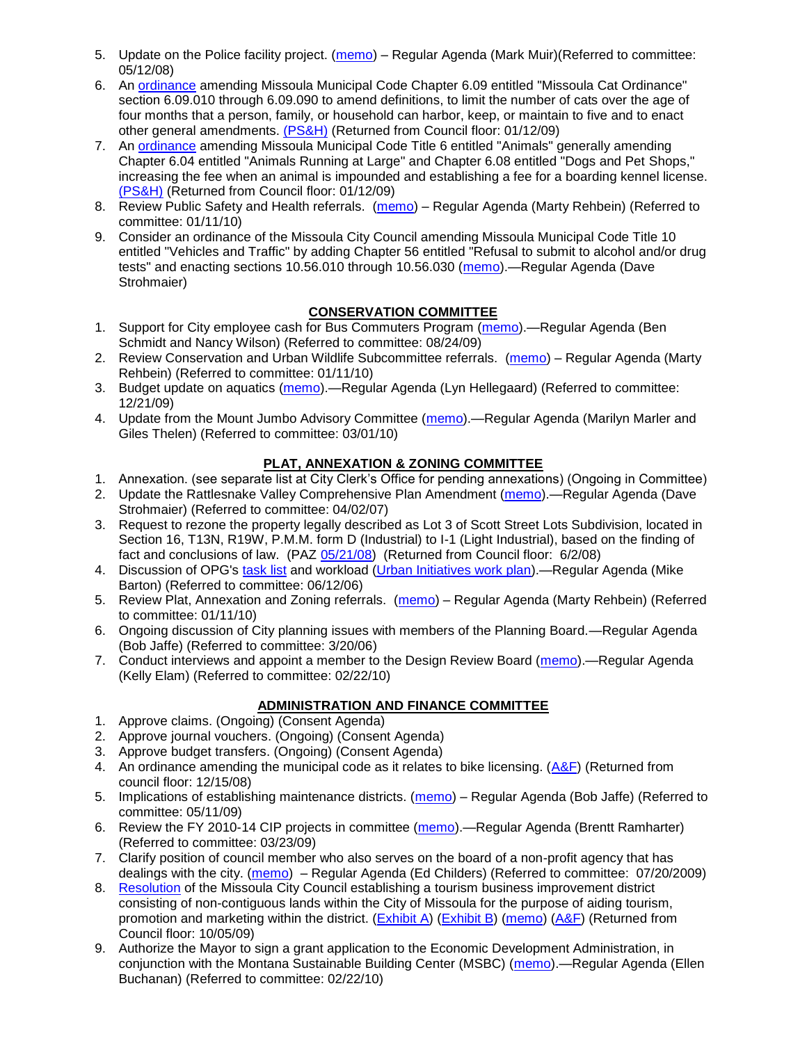- 5. Update on the Police facility project. [\(memo\)](ftp://ftp.ci.missoula.mt.us/Packets/Council/2008/2008-05-12/Referrals/Buildingpresentationreferral.htm) Regular Agenda (Mark Muir)(Referred to committee: 05/12/08)
- 6. An [ordinance](ftp://ftp.ci.missoula.mt.us/Packets/Council/2008/2008-12-15/2008CatOrdinanceAmendment%5B1%5D.pdf) amending Missoula Municipal Code Chapter 6.09 entitled "Missoula Cat Ordinance" section 6.09.010 through 6.09.090 to amend definitions, to limit the number of cats over the age of four months that a person, family, or household can harbor, keep, or maintain to five and to enact other general amendments. [\(PS&H\)](ftp://ftp.ci.missoula.mt.us/Packets/Council/2008/2008-12-15/081210psh.pdf) (Returned from Council floor: 01/12/09)
- 7. An [ordinance](ftp://ftp.ci.missoula.mt.us/Packets/Council/2008/2008-12-15/DogOrdinance--PSHrevisions.pdf) amending Missoula Municipal Code Title 6 entitled "Animals" generally amending Chapter 6.04 entitled "Animals Running at Large" and Chapter 6.08 entitled "Dogs and Pet Shops," increasing the fee when an animal is impounded and establishing a fee for a boarding kennel license. [\(PS&H\)](ftp://ftp.ci.missoula.mt.us/Packets/Council/2008/2008-12-15/081210psh.pdf) (Returned from Council floor: 01/12/09)
- 8. Review Public Safety and Health referrals. [\(memo\)](http://www.ci.missoula.mt.us/DocumentView.aspx?DID=2933) Regular Agenda (Marty Rehbein) (Referred to committee: 01/11/10)
- 9. Consider an ordinance of the Missoula City Council amending Missoula Municipal Code Title 10 entitled "Vehicles and Traffic" by adding Chapter 56 entitled "Refusal to submit to alcohol and/or drug tests" and enacting sections 10.56.010 through 10.56.030 [\(memo\)](http://www.ci.missoula.mt.us/DocumentView.aspx?DID=3131).—Regular Agenda (Dave Strohmaier)

# **CONSERVATION COMMITTEE**

- 1. Support for City employee cash for Bus Commuters Program [\(memo\)](http://www.ci.missoula.mt.us/DocumentView.aspx?DID=2127).—Regular Agenda (Ben Schmidt and Nancy Wilson) (Referred to committee: 08/24/09)
- 2. Review Conservation and Urban Wildlife Subcommittee referrals. [\(memo\)](http://www.ci.missoula.mt.us/DocumentView.aspx?DID=2933) Regular Agenda (Marty Rehbein) (Referred to committee: 01/11/10)
- 3. Budget update on aquatics [\(memo\)](http://www.ci.missoula.mt.us/DocumentView.aspx?DID=2864).—Regular Agenda (Lyn Hellegaard) (Referred to committee: 12/21/09)
- 4. Update from the Mount Jumbo Advisory Committee [\(memo\)](http://www.ci.missoula.mt.us/DocumentView.aspx?DID=3215).—Regular Agenda (Marilyn Marler and Giles Thelen) (Referred to committee: 03/01/10)

# **PLAT, ANNEXATION & ZONING COMMITTEE**

- 1. Annexation. (see separate list at City Clerk's Office for pending annexations) (Ongoing in Committee)
- 2. Update the Rattlesnake Valley Comprehensive Plan Amendment [\(memo\)](ftp://ftp.ci.missoula.mt.us/Packets/Council/2007/2007-04-02/Referrals/Rattlesnake_Plan_Update_referral.pdf).—Regular Agenda (Dave Strohmaier) (Referred to committee: 04/02/07)
- 3. Request to rezone the property legally described as Lot 3 of Scott Street Lots Subdivision, located in Section 16, T13N, R19W, P.M.M. form D (Industrial) to I-1 (Light Industrial), based on the finding of fact and conclusions of law. (PAZ [05/21/08\)](ftp://ftp.ci.missoula.mt.us/Packets/Council/2008/2008-06-02/080521paz.pdf) (Returned from Council floor: 6/2/08)
- 4. Discussion of OPG's [task list](ftp://ftp.ci.missoula.mt.us/Packets/Council/2008/2008-07-07/UITaskList.pdf) and workload [\(Urban Initiatives work plan\)](ftp://ftp.ci.missoula.mt.us/Packets/Council/2006/2006-06-12/Referrals/Urban_Init.htm).—Regular Agenda (Mike Barton) (Referred to committee: 06/12/06)
- 5. Review Plat, Annexation and Zoning referrals. [\(memo\)](http://www.ci.missoula.mt.us/DocumentView.aspx?DID=2933) Regular Agenda (Marty Rehbein) (Referred to committee: 01/11/10)
- 6. Ongoing discussion of City planning issues with members of the Planning Board.—Regular Agenda (Bob Jaffe) (Referred to committee: 3/20/06)
- 7. Conduct interviews and appoint a member to the Design Review Board [\(memo\)](http://www.ci.missoula.mt.us/DocumentView.aspx?DID=3168).—Regular Agenda (Kelly Elam) (Referred to committee: 02/22/10)

# **ADMINISTRATION AND FINANCE COMMITTEE**

- 1. Approve claims. (Ongoing) (Consent Agenda)
- 2. Approve journal vouchers. (Ongoing) (Consent Agenda)
- 3. Approve budget transfers. (Ongoing) (Consent Agenda)
- 4. An ordinance amending the municipal code as it relates to bike licensing.  $(A&F)$  (Returned from council floor: 12/15/08)
- 5. Implications of establishing maintenance districts. [\(memo\)](ftp://ftp.ci.missoula.mt.us/Packets/Council/2009/2009-05-11/Referrals/MaintenanceDistricts.pdf) Regular Agenda (Bob Jaffe) (Referred to committee: 05/11/09)
- 6. Review the FY 2010-14 CIP projects in committee [\(memo\)](ftp://ftp.ci.missoula.mt.us/Packets/Council/2009/2009-03-23/Referrals/RefAFCIPBudgetReviewFY2010-2014CIP.pdf).—Regular Agenda (Brentt Ramharter) (Referred to committee: 03/23/09)
- 7. Clarify position of council member who also serves on the board of a non-profit agency that has dealings with the city. [\(memo\)](http://www.ci.missoula.mt.us/DocumentView.aspx?DID=1840) – Regular Agenda (Ed Childers) (Referred to committee: 07/20/2009)
- 8. [Resolution](http://www.ci.missoula.mt.us/DocumentView.aspx?DID=2373) of the Missoula City Council establishing a tourism business improvement district consisting of non-contiguous lands within the City of Missoula for the purpose of aiding tourism, promotion and marketing within the district. [\(Exhibit A\)](http://www.ci.missoula.mt.us/DocumentView.aspx?DID=2090) [\(Exhibit B\)](http://www.ci.missoula.mt.us/DocumentView.aspx?DID=2374) [\(memo\)](http://www.ci.missoula.mt.us/DocumentView.aspx?DID=2097) [\(A&F\)](http://www.ci.missoula.mt.us/Archive.aspx?ADID=1172) (Returned from Council floor: 10/05/09)
- 9. Authorize the Mayor to sign a grant application to the Economic Development Administration, in conjunction with the Montana Sustainable Building Center (MSBC) [\(memo\)](http://www.ci.missoula.mt.us/DocumentView.aspx?DID=3183).—Regular Agenda (Ellen Buchanan) (Referred to committee: 02/22/10)